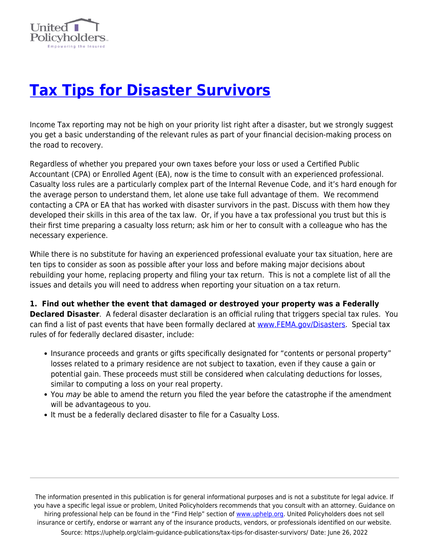

## **[Tax Tips for Disaster Survivors](https://uphelp.org/claim-guidance-publications/tax-tips-for-disaster-survivors/)**

Income Tax reporting may not be high on your priority list right after a disaster, but we strongly suggest you get a basic understanding of the relevant rules as part of your financial decision-making process on the road to recovery.

Regardless of whether you prepared your own taxes before your loss or used a Certified Public Accountant (CPA) or Enrolled Agent (EA), now is the time to consult with an experienced professional. Casualty loss rules are a particularly complex part of the Internal Revenue Code, and it's hard enough for the average person to understand them, let alone use take full advantage of them. We recommend contacting a CPA or EA that has worked with disaster survivors in the past. Discuss with them how they developed their skills in this area of the tax law. Or, if you have a tax professional you trust but this is their first time preparing a casualty loss return; ask him or her to consult with a colleague who has the necessary experience.

While there is no substitute for having an experienced professional evaluate your tax situation, here are ten tips to consider as soon as possible after your loss and before making major decisions about rebuilding your home, replacing property and filing your tax return. This is not a complete list of all the issues and details you will need to address when reporting your situation on a tax return.

**1. Find out whether the event that damaged or destroyed your property was a Federally Declared Disaster**. A federal disaster declaration is an official ruling that triggers special tax rules. You can find a list of past events that have been formally declared at [www.FEMA.gov/Disasters.](http://www.fema.gov/Disasters) Special tax rules of for federally declared disaster, include:

- Insurance proceeds and grants or gifts specifically designated for "contents or personal property" losses related to a primary residence are not subject to taxation, even if they cause a gain or potential gain. These proceeds must still be considered when calculating deductions for losses, similar to computing a loss on your real property.
- You may be able to amend the return you filed the year before the catastrophe if the amendment will be advantageous to you.
- It must be a federally declared disaster to file for a Casualty Loss.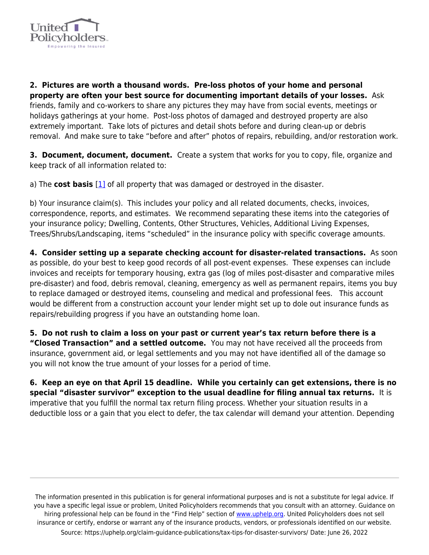

**2. Pictures are worth a thousand words. Pre-loss photos of your home and personal property are often your best source for documenting important details of your losses.** Ask friends, family and co-workers to share any pictures they may have from social events, meetings or holidays gatherings at your home. Post-loss photos of damaged and destroyed property are also extremely important. Take lots of pictures and detail shots before and during clean-up or debris removal. And make sure to take "before and after" photos of repairs, rebuilding, and/or restoration work.

**3. Document, document, document.** Create a system that works for you to copy, file, organize and keep track of all information related to:

a) The **cost basis** [\[1\]](#page-2-0) of all property that was damaged or destroyed in the disaster.

b) Your insurance claim(s). This includes your policy and all related documents, checks, invoices, correspondence, reports, and estimates. We recommend separating these items into the categories of your insurance policy; Dwelling, Contents, Other Structures, Vehicles, Additional Living Expenses, Trees/Shrubs/Landscaping, items "scheduled" in the insurance policy with specific coverage amounts.

**4. Consider setting up a separate checking account for disaster-related transactions.** As soon as possible, do your best to keep good records of all post-event expenses. These expenses can include invoices and receipts for temporary housing, extra gas (log of miles post-disaster and comparative miles pre-disaster) and food, debris removal, cleaning, emergency as well as permanent repairs, items you buy to replace damaged or destroyed items, counseling and medical and professional fees. This account would be different from a construction account your lender might set up to dole out insurance funds as repairs/rebuilding progress if you have an outstanding home loan.

**5. Do not rush to claim a loss on your past or current year's tax return before there is a "Closed Transaction" and a settled outcome.** You may not have received all the proceeds from insurance, government aid, or legal settlements and you may not have identified all of the damage so you will not know the true amount of your losses for a period of time.

**6. Keep an eye on that April 15 deadline. While you certainly can get extensions, there is no special "disaster survivor" exception to the usual deadline for filing annual tax returns.** It is imperative that you fulfill the normal tax return filing process. Whether your situation results in a deductible loss or a gain that you elect to defer, the tax calendar will demand your attention. Depending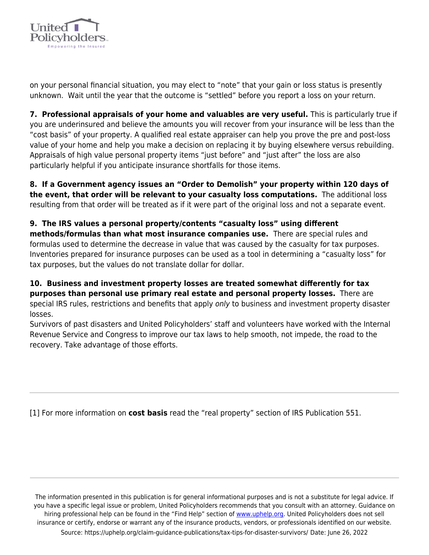

on your personal financial situation, you may elect to "note" that your gain or loss status is presently unknown. Wait until the year that the outcome is "settled" before you report a loss on your return.

**7. Professional appraisals of your home and valuables are very useful.** This is particularly true if you are underinsured and believe the amounts you will recover from your insurance will be less than the "cost basis" of your property. A qualified real estate appraiser can help you prove the pre and post-loss value of your home and help you make a decision on replacing it by buying elsewhere versus rebuilding. Appraisals of high value personal property items "just before" and "just after" the loss are also particularly helpful if you anticipate insurance shortfalls for those items.

**8. If a Government agency issues an "Order to Demolish" your property within 120 days of the event, that order will be relevant to your casualty loss computations.** The additional loss resulting from that order will be treated as if it were part of the original loss and not a separate event.

## **9. The IRS values a personal property/contents "casualty loss" using different methods/formulas than what most insurance companies use.** There are special rules and formulas used to determine the decrease in value that was caused by the casualty for tax purposes. Inventories prepared for insurance purposes can be used as a tool in determining a "casualty loss" for tax purposes, but the values do not translate dollar for dollar.

## **10. Business and investment property losses are treated somewhat differently for tax purposes than personal use primary real estate and personal property losses.** There are special IRS rules, restrictions and benefits that apply only to business and investment property disaster losses.

Survivors of past disasters and United Policyholders' staff and volunteers have worked with the Internal Revenue Service and Congress to improve our tax laws to help smooth, not impede, the road to the recovery. Take advantage of those efforts.

<span id="page-2-0"></span>[1] For more information on **cost basis** read the "real property" section of IRS Publication 551.